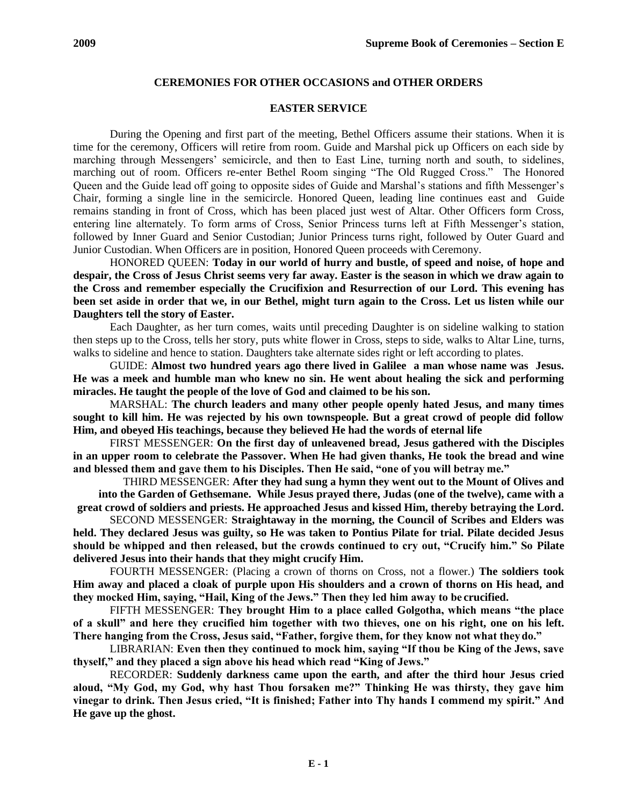# **CEREMONIES FOR OTHER OCCASIONS and OTHER ORDERS**

#### **EASTER SERVICE**

During the Opening and first part of the meeting, Bethel Officers assume their stations. When it is time for the ceremony, Officers will retire from room. Guide and Marshal pick up Officers on each side by marching through Messengers' semicircle, and then to East Line, turning north and south, to sidelines, marching out of room. Officers re-enter Bethel Room singing "The Old Rugged Cross." The Honored Queen and the Guide lead off going to opposite sides of Guide and Marshal's stations and fifth Messenger's Chair, forming a single line in the semicircle. Honored Queen, leading line continues east and Guide remains standing in front of Cross, which has been placed just west of Altar. Other Officers form Cross, entering line alternately. To form arms of Cross, Senior Princess turns left at Fifth Messenger's station, followed by Inner Guard and Senior Custodian; Junior Princess turns right, followed by Outer Guard and Junior Custodian. When Officers are in position, Honored Queen proceeds with Ceremony.

HONORED QUEEN: **Today in our world of hurry and bustle, of speed and noise, of hope and despair, the Cross of Jesus Christ seems very far away. Easter is the season in which we draw again to the Cross and remember especially the Crucifixion and Resurrection of our Lord. This evening has been set aside in order that we, in our Bethel, might turn again to the Cross. Let us listen while our Daughters tell the story of Easter.**

Each Daughter, as her turn comes, waits until preceding Daughter is on sideline walking to station then steps up to the Cross, tells her story, puts white flower in Cross, steps to side, walks to Altar Line, turns, walks to sideline and hence to station. Daughters take alternate sides right or left according to plates.

GUIDE: **Almost two hundred years ago there lived in Galilee a man whose name was Jesus. He was a meek and humble man who knew no sin. He went about healing the sick and performing miracles. He taught the people of the love of God and claimed to be his son.**

MARSHAL: **The church leaders and many other people openly hated Jesus, and many times sought to kill him. He was rejected by his own townspeople. But a great crowd of people did follow Him, and obeyed His teachings, because they believed He had the words of eternal life**

FIRST MESSENGER: **On the first day of unleavened bread, Jesus gathered with the Disciples in an upper room to celebrate the Passover. When He had given thanks, He took the bread and wine and blessed them and gave them to his Disciples. Then He said, "one of you will betray me."**

THIRD MESSENGER: **After they had sung a hymn they went out to the Mount of Olives and into the Garden of Gethsemane. While Jesus prayed there, Judas (one of the twelve), came with a great crowd of soldiers and priests. He approached Jesus and kissed Him, thereby betraying the Lord.**

SECOND MESSENGER: **Straightaway in the morning, the Council of Scribes and Elders was held. They declared Jesus was guilty, so He was taken to Pontius Pilate for trial. Pilate decided Jesus should be whipped and then released, but the crowds continued to cry out, "Crucify him." So Pilate delivered Jesus into their hands that they might crucify Him.**

FOURTH MESSENGER: (Placing a crown of thorns on Cross, not a flower.) **The soldiers took Him away and placed a cloak of purple upon His shoulders and a crown of thorns on His head, and they mocked Him, saying, "Hail, King of the Jews." Then they led him away to be crucified.**

FIFTH MESSENGER: **They brought Him to a place called Golgotha, which means "the place of a skull" and here they crucified him together with two thieves, one on his right, one on his left. There hanging from the Cross, Jesus said, "Father, forgive them, for they know not what theydo."**

LIBRARIAN: **Even then they continued to mock him, saying "If thou be King of the Jews, save thyself," and they placed a sign above his head which read "King of Jews."**

RECORDER: **Suddenly darkness came upon the earth, and after the third hour Jesus cried aloud, "My God, my God, why hast Thou forsaken me?" Thinking He was thirsty, they gave him vinegar to drink. Then Jesus cried, "It is finished; Father into Thy hands I commend my spirit." And He gave up the ghost.**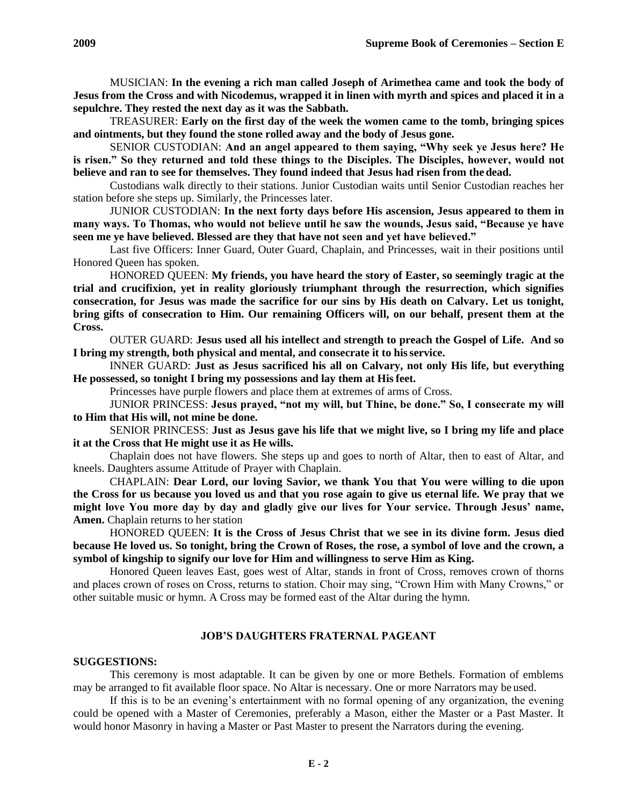TREASURER: **Early on the first day of the week the women came to the tomb, bringing spices and ointments, but they found the stone rolled away and the body of Jesus gone.**

SENIOR CUSTODIAN: **And an angel appeared to them saying, "Why seek ye Jesus here? He is risen." So they returned and told these things to the Disciples. The Disciples, however, would not believe and ran to see for themselves. They found indeed that Jesus had risen from the dead.**

Custodians walk directly to their stations. Junior Custodian waits until Senior Custodian reaches her station before she steps up. Similarly, the Princesses later.

JUNIOR CUSTODIAN: **In the next forty days before His ascension, Jesus appeared to them in many ways. To Thomas, who would not believe until he saw the wounds, Jesus said, "Because ye have seen me ye have believed. Blessed are they that have not seen and yet have believed."**

Last five Officers: Inner Guard, Outer Guard, Chaplain, and Princesses, wait in their positions until Honored Queen has spoken.

HONORED QUEEN: **My friends, you have heard the story of Easter, so seemingly tragic at the trial and crucifixion, yet in reality gloriously triumphant through the resurrection, which signifies consecration, for Jesus was made the sacrifice for our sins by His death on Calvary. Let us tonight, bring gifts of consecration to Him. Our remaining Officers will, on our behalf, present them at the Cross.**

OUTER GUARD: **Jesus used all his intellect and strength to preach the Gospel of Life. And so I bring my strength, both physical and mental, and consecrate it to hisservice.**

INNER GUARD: **Just as Jesus sacrificed his all on Calvary, not only His life, but everything He possessed, so tonight I bring my possessions and lay them at Hisfeet.**

Princesses have purple flowers and place them at extremes of arms of Cross.

JUNIOR PRINCESS: **Jesus prayed, "not my will, but Thine, be done." So, I consecrate my will to Him that His will, not mine be done.**

SENIOR PRINCESS: **Just as Jesus gave his life that we might live, so I bring my life and place it at the Cross that He might use it as He wills.**

Chaplain does not have flowers. She steps up and goes to north of Altar, then to east of Altar, and kneels. Daughters assume Attitude of Prayer with Chaplain.

CHAPLAIN: **Dear Lord, our loving Savior, we thank You that You were willing to die upon the Cross for us because you loved us and that you rose again to give us eternal life. We pray that we might love You more day by day and gladly give our lives for Your service. Through Jesus' name, Amen.** Chaplain returns to her station

HONORED QUEEN: **It is the Cross of Jesus Christ that we see in its divine form. Jesus died because He loved us. So tonight, bring the Crown of Roses, the rose, a symbol of love and the crown, a symbol of kingship to signify our love for Him and willingness to serve Him as King.**

Honored Queen leaves East, goes west of Altar, stands in front of Cross, removes crown of thorns and places crown of roses on Cross, returns to station. Choir may sing, "Crown Him with Many Crowns," or other suitable music or hymn. A Cross may be formed east of the Altar during the hymn.

# **JOB'S DAUGHTERS FRATERNAL PAGEANT**

#### **SUGGESTIONS:**

This ceremony is most adaptable. It can be given by one or more Bethels. Formation of emblems may be arranged to fit available floor space. No Altar is necessary. One or more Narrators may be used.

If this is to be an evening's entertainment with no formal opening of any organization, the evening could be opened with a Master of Ceremonies, preferably a Mason, either the Master or a Past Master. It would honor Masonry in having a Master or Past Master to present the Narrators during the evening.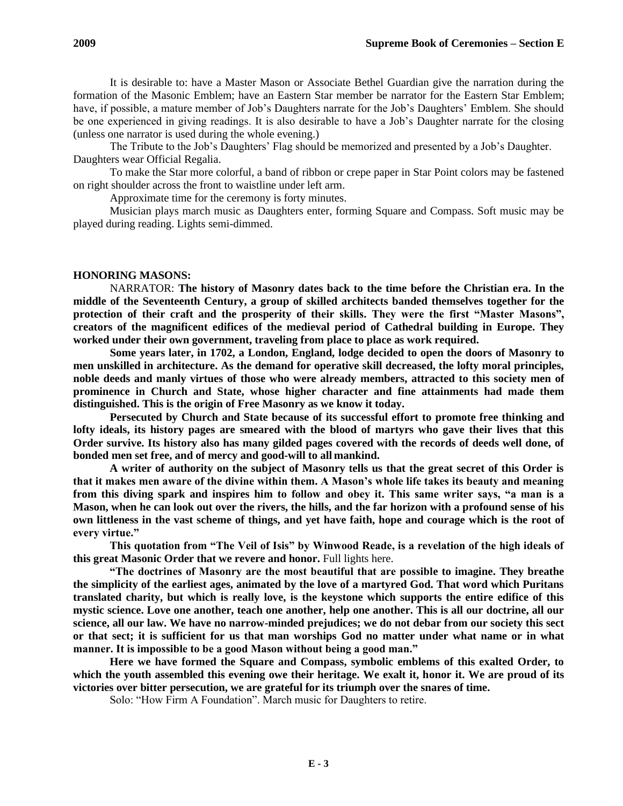It is desirable to: have a Master Mason or Associate Bethel Guardian give the narration during the formation of the Masonic Emblem; have an Eastern Star member be narrator for the Eastern Star Emblem; have, if possible, a mature member of Job's Daughters narrate for the Job's Daughters' Emblem. She should be one experienced in giving readings. It is also desirable to have a Job's Daughter narrate for the closing (unless one narrator is used during the whole evening.)

The Tribute to the Job's Daughters' Flag should be memorized and presented by a Job's Daughter. Daughters wear Official Regalia.

To make the Star more colorful, a band of ribbon or crepe paper in Star Point colors may be fastened on right shoulder across the front to waistline under left arm.

Approximate time for the ceremony is forty minutes.

Musician plays march music as Daughters enter, forming Square and Compass. Soft music may be played during reading. Lights semi-dimmed.

# **HONORING MASONS:**

NARRATOR: **The history of Masonry dates back to the time before the Christian era. In the middle of the Seventeenth Century, a group of skilled architects banded themselves together for the protection of their craft and the prosperity of their skills. They were the first "Master Masons", creators of the magnificent edifices of the medieval period of Cathedral building in Europe. They worked under their own government, traveling from place to place as work required.**

**Some years later, in 1702, a London, England, lodge decided to open the doors of Masonry to men unskilled in architecture. As the demand for operative skill decreased, the lofty moral principles, noble deeds and manly virtues of those who were already members, attracted to this society men of prominence in Church and State, whose higher character and fine attainments had made them distinguished. This is the origin of Free Masonry as we know it today.**

**Persecuted by Church and State because of its successful effort to promote free thinking and lofty ideals, its history pages are smeared with the blood of martyrs who gave their lives that this Order survive. Its history also has many gilded pages covered with the records of deeds well done, of bonded men set free, and of mercy and good-will to all mankind.**

**A writer of authority on the subject of Masonry tells us that the great secret of this Order is that it makes men aware of the divine within them. A Mason's whole life takes its beauty and meaning from this diving spark and inspires him to follow and obey it. This same writer says, "a man is a Mason, when he can look out over the rivers, the hills, and the far horizon with a profound sense of his own littleness in the vast scheme of things, and yet have faith, hope and courage which is the root of every virtue."**

**This quotation from "The Veil of Isis" by Winwood Reade, is a revelation of the high ideals of this great Masonic Order that we revere and honor.** Full lights here.

**"The doctrines of Masonry are the most beautiful that are possible to imagine. They breathe the simplicity of the earliest ages, animated by the love of a martyred God. That word which Puritans translated charity, but which is really love, is the keystone which supports the entire edifice of this mystic science. Love one another, teach one another, help one another. This is all our doctrine, all our science, all our law. We have no narrow-minded prejudices; we do not debar from our society this sect or that sect; it is sufficient for us that man worships God no matter under what name or in what manner. It is impossible to be a good Mason without being a good man."**

**Here we have formed the Square and Compass, symbolic emblems of this exalted Order, to which the youth assembled this evening owe their heritage. We exalt it, honor it. We are proud of its victories over bitter persecution, we are grateful for its triumph over the snares of time.**

Solo: "How Firm A Foundation". March music for Daughters to retire.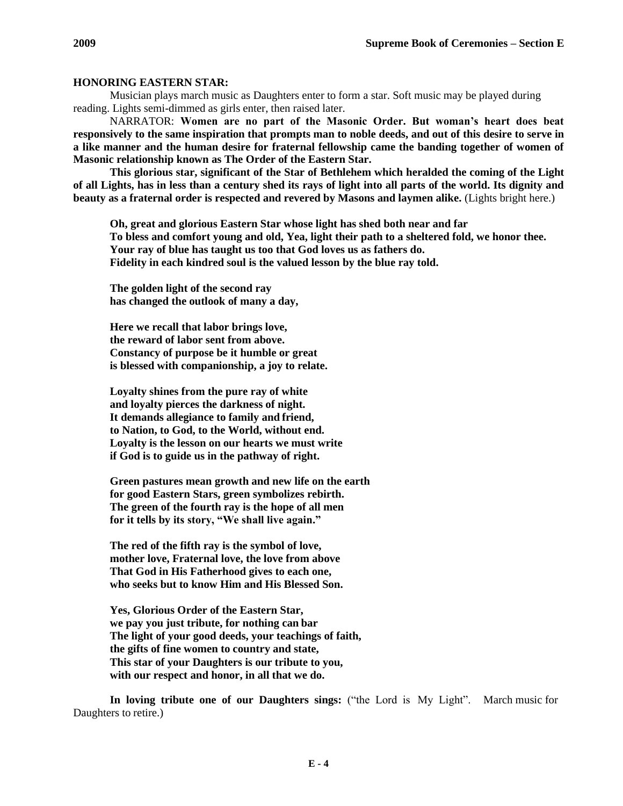### **HONORING EASTERN STAR:**

Musician plays march music as Daughters enter to form a star. Soft music may be played during reading. Lights semi-dimmed as girls enter, then raised later.

NARRATOR: **Women are no part of the Masonic Order. But woman's heart does beat responsively to the same inspiration that prompts man to noble deeds, and out of this desire to serve in a like manner and the human desire for fraternal fellowship came the banding together of women of Masonic relationship known as The Order of the Eastern Star.**

**This glorious star, significant of the Star of Bethlehem which heralded the coming of the Light of all Lights, has in less than a century shed its rays of light into all parts of the world. Its dignity and beauty as a fraternal order is respected and revered by Masons and laymen alike.** (Lights bright here.)

**Oh, great and glorious Eastern Star whose light has shed both near and far To bless and comfort young and old, Yea, light their path to a sheltered fold, we honor thee. Your ray of blue has taught us too that God loves us as fathers do. Fidelity in each kindred soul is the valued lesson by the blue ray told.**

**The golden light of the second ray has changed the outlook of many a day,**

**Here we recall that labor brings love, the reward of labor sent from above. Constancy of purpose be it humble or great is blessed with companionship, a joy to relate.**

**Loyalty shines from the pure ray of white and loyalty pierces the darkness of night. It demands allegiance to family and friend, to Nation, to God, to the World, without end. Loyalty is the lesson on our hearts we must write if God is to guide us in the pathway of right.**

**Green pastures mean growth and new life on the earth for good Eastern Stars, green symbolizes rebirth. The green of the fourth ray is the hope of all men for it tells by its story, "We shall live again."**

**The red of the fifth ray is the symbol of love, mother love, Fraternal love, the love from above That God in His Fatherhood gives to each one, who seeks but to know Him and His Blessed Son.**

**Yes, Glorious Order of the Eastern Star, we pay you just tribute, for nothing can bar The light of your good deeds, your teachings of faith, the gifts of fine women to country and state, This star of your Daughters is our tribute to you, with our respect and honor, in all that we do.**

**In loving tribute one of our Daughters sings:** ("the Lord is My Light". March music for Daughters to retire.)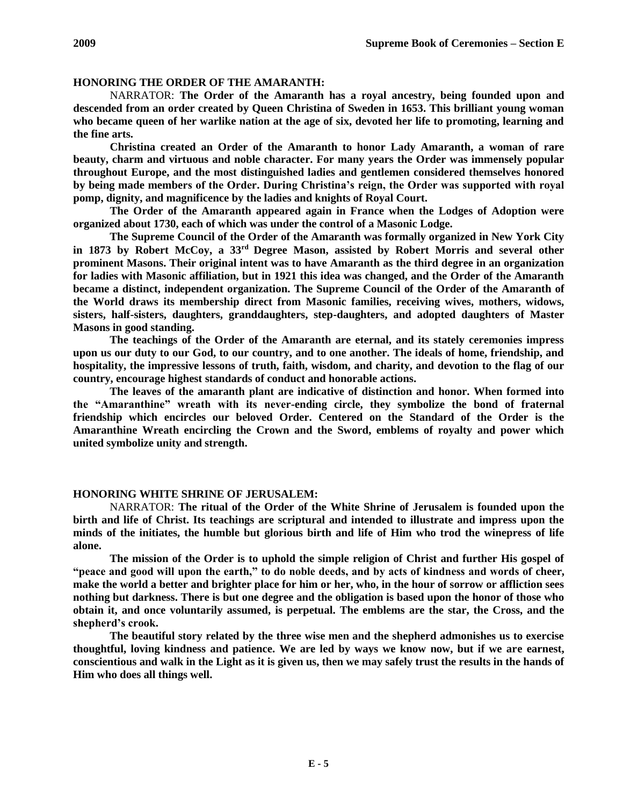### **HONORING THE ORDER OF THE AMARANTH:**

NARRATOR: **The Order of the Amaranth has a royal ancestry, being founded upon and descended from an order created by Queen Christina of Sweden in 1653. This brilliant young woman who became queen of her warlike nation at the age of six, devoted her life to promoting, learning and the fine arts.**

**Christina created an Order of the Amaranth to honor Lady Amaranth, a woman of rare beauty, charm and virtuous and noble character. For many years the Order was immensely popular throughout Europe, and the most distinguished ladies and gentlemen considered themselves honored by being made members of the Order. During Christina's reign, the Order was supported with royal pomp, dignity, and magnificence by the ladies and knights of Royal Court.**

**The Order of the Amaranth appeared again in France when the Lodges of Adoption were organized about 1730, each of which was under the control of a Masonic Lodge.**

**The Supreme Council of the Order of the Amaranth was formally organized in New York City in 1873 by Robert McCoy, a 33rd Degree Mason, assisted by Robert Morris and several other prominent Masons. Their original intent was to have Amaranth as the third degree in an organization for ladies with Masonic affiliation, but in 1921 this idea was changed, and the Order of the Amaranth became a distinct, independent organization. The Supreme Council of the Order of the Amaranth of the World draws its membership direct from Masonic families, receiving wives, mothers, widows, sisters, half-sisters, daughters, granddaughters, step-daughters, and adopted daughters of Master Masons in good standing.**

**The teachings of the Order of the Amaranth are eternal, and its stately ceremonies impress upon us our duty to our God, to our country, and to one another. The ideals of home, friendship, and hospitality, the impressive lessons of truth, faith, wisdom, and charity, and devotion to the flag of our country, encourage highest standards of conduct and honorable actions.**

**The leaves of the amaranth plant are indicative of distinction and honor. When formed into the "Amaranthine" wreath with its never-ending circle, they symbolize the bond of fraternal friendship which encircles our beloved Order. Centered on the Standard of the Order is the Amaranthine Wreath encircling the Crown and the Sword, emblems of royalty and power which united symbolize unity and strength.**

#### **HONORING WHITE SHRINE OF JERUSALEM:**

NARRATOR: **The ritual of the Order of the White Shrine of Jerusalem is founded upon the birth and life of Christ. Its teachings are scriptural and intended to illustrate and impress upon the minds of the initiates, the humble but glorious birth and life of Him who trod the winepress of life alone.**

**The mission of the Order is to uphold the simple religion of Christ and further His gospel of "peace and good will upon the earth," to do noble deeds, and by acts of kindness and words of cheer, make the world a better and brighter place for him or her, who, in the hour of sorrow or affliction sees nothing but darkness. There is but one degree and the obligation is based upon the honor of those who obtain it, and once voluntarily assumed, is perpetual. The emblems are the star, the Cross, and the shepherd's crook.**

**The beautiful story related by the three wise men and the shepherd admonishes us to exercise thoughtful, loving kindness and patience. We are led by ways we know now, but if we are earnest, conscientious and walk in the Light as it is given us, then we may safely trust the results in the hands of Him who does all things well.**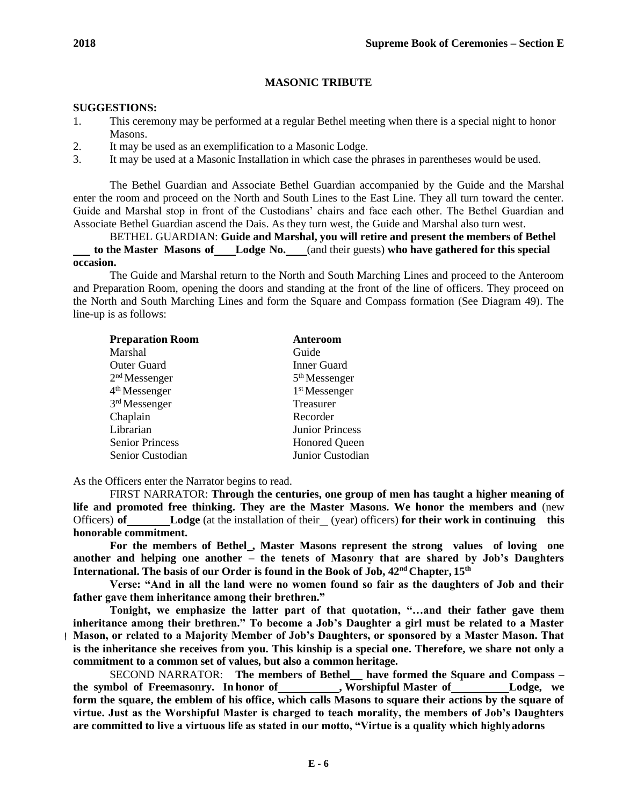# **MASONIC TRIBUTE**

# **SUGGESTIONS:**

- 1. This ceremony may be performed at a regular Bethel meeting when there is a special night to honor Masons.
- 2. It may be used as an exemplification to a Masonic Lodge.
- 3. It may be used at a Masonic Installation in which case the phrases in parentheses would be used.

The Bethel Guardian and Associate Bethel Guardian accompanied by the Guide and the Marshal enter the room and proceed on the North and South Lines to the East Line. They all turn toward the center. Guide and Marshal stop in front of the Custodians' chairs and face each other. The Bethel Guardian and Associate Bethel Guardian ascend the Dais. As they turn west, the Guide and Marshal also turn west.

BETHEL GUARDIAN: **Guide and Marshal, you will retire and present the members of Bethel to the Master Masons of Lodge No.** (and their guests) **who have gathered for this special occasion.**

The Guide and Marshal return to the North and South Marching Lines and proceed to the Anteroom and Preparation Room, opening the doors and standing at the front of the line of officers. They proceed on the North and South Marching Lines and form the Square and Compass formation (See Diagram 49). The line-up is as follows:

| <b>Preparation Room</b>   | Anteroom               |
|---------------------------|------------------------|
| <b>Marshal</b>            | Guide                  |
| <b>Outer Guard</b>        | <b>Inner Guard</b>     |
| $2nd$ Messenger           | $5th$ Messenger        |
| 4 <sup>th</sup> Messenger | $1st$ Messenger        |
| $3rd$ Messenger           | <b>Treasurer</b>       |
| Chaplain                  | Recorder               |
| Librarian                 | <b>Junior Princess</b> |
| <b>Senior Princess</b>    | <b>Honored Queen</b>   |
| Senior Custodian          | Junior Custodian       |

As the Officers enter the Narrator begins to read.

FIRST NARRATOR: **Through the centuries, one group of men has taught a higher meaning of life and promoted free thinking. They are the Master Masons. We honor the members and** (new Officers) **of Lodge** (at the installation of their (year) officers) **for their work in continuing this honorable commitment.**

For the members of Bethel<sub>,</sub> Master Masons represent the strong values of loving one **another and helping one another – the tenets of Masonry that are shared by Job's Daughters International. The basis of our Order is found in the Book of Job, 42nd Chapter, 15th**

**Verse: "And in all the land were no women found so fair as the daughters of Job and their father gave them inheritance among their brethren."**

**Tonight, we emphasize the latter part of that quotation, "…and their father gave them inheritance among their brethren." To become a Job's Daughter a girl must be related to a Master Mason, or related to a Majority Member of Job's Daughters, or sponsored by a Master Mason. That is the inheritance she receives from you. This kinship is a special one. Therefore, we share not only a commitment to a common set of values, but also a common heritage.**

SECOND NARRATOR: **The members of Bethel have formed the Square and Compass –**  the symbol of Freemasonry. In honor of **, Worshipful Master of <b>Lodge**, we form the square, the emblem of his office, which calls Masons to square their actions by the square of **virtue. Just as the Worshipful Master is charged to teach morality, the members of Job's Daughters are committed to live a virtuous life as stated in our motto, "Virtue is a quality which highlyadorns**